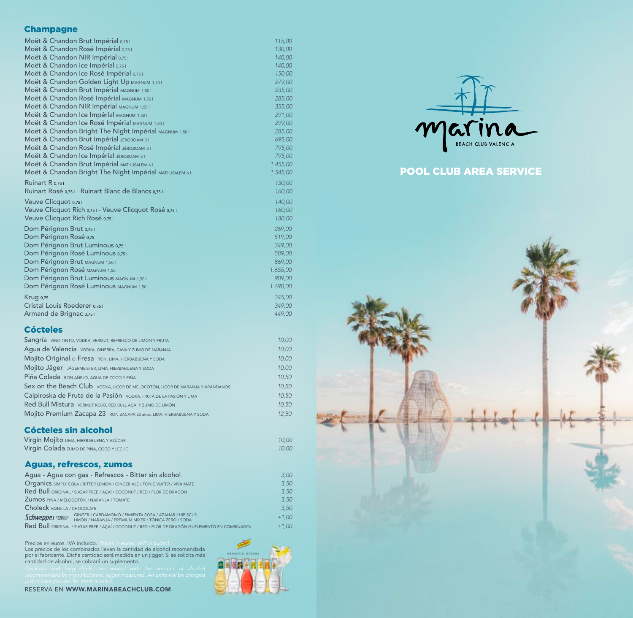#### **Champagne**

| Moët & Chandon Brut Impérial 0,751                     | 115,00        |
|--------------------------------------------------------|---------------|
| Moët & Chandon Rosé Impérial 0,751                     | 130,00        |
| Moët & Chandon NIR Impérial 0,751                      | 140,00        |
| Moët & Chandon Ice Impérial 0,751                      | 140,00        |
| Moët & Chandon Ice Rosé Impérial 0,751                 | 150,0C        |
| Moët & Chandon Golden Light Up MAGNUM 1,501            | 279,00        |
| Moët & Chandon Brut Impérial MAGNUM 1,501              | 235,00        |
| Moët & Chandon Rosé Impérial MAGNUM 1,501              | 285,00        |
| Moët & Chandon NIR Impérial MAGNUM 1,501               | 355,00        |
| Moët & Chandon Ice Impérial MAGNUM 1,501               | 291,00        |
| Moët & Chandon Ice Rosé Impérial MAGNUM 1,501          | 299,00        |
| Moët & Chandon Bright The Night Impérial MAGNUM 1,501  | 285,0C        |
| Moët & Chandon Brut Impérial JÉROBOAM 31               | 695,0C        |
| Moët & Chandon Rosé Impérial JÉROBOAM 31               | 795,0C        |
| Moët & Chandon Ice Impérial JÉROBOAM 31                | 795,0C        |
| Moët & Chandon Brut Impérial MATHUSALEM 61             | 1.455,00      |
| Moët & Chandon Bright The Night Impérial MATHUSALEM 61 | 1.545,00      |
| Ruinart R 0,751                                        | 150,00        |
| Ruinart Rosé 0,751 - Ruinart Blanc de Blancs 0,751     | <b>160,00</b> |
| Veuve Clicquot 0,751                                   | 140,00        |
| Veuve Clicquot Rich 0,751 - Veuve Clicquot Rosé 0,751  | 160,00        |
| Veuve Clicquot Rich Rosé 0,751                         | <b>180,00</b> |
| Dom Pérignon Brut 0,751                                | 269,00        |
| Dom Pérignon Rosé 0,751                                | 519,00        |
| Dom Pérignon Brut Luminous 0,751                       | 349,00        |
| Dom Pérignon Rosé Luminous 0,751                       | 589,00        |
| Dom Pérignon Brut MAGNUM 1,501                         | 869,00        |
| Dom Pérignon Rosé MAGNUM 1,50 I                        | 1.655,00      |
| Dom Pérignon Brut Luminous MAGNUM 1,501                | 909,00        |
| Dom Pérignon Rosé Luminous MAGNUM 1,50 I               | 1.690,00      |
| Krug 0,751                                             | 345,00        |
| Cristal Louis Roederer 0,751                           | 349,00        |
| Armand de Brignac 0,751                                | 449,00        |
|                                                        |               |

## Cócteles

| Sangría VINO TINTO, VODKA, VERMUT, REFRESCO DE LIMÓN Y FRUTA                  | 10,00        |
|-------------------------------------------------------------------------------|--------------|
| Agua de Valencia vodka, GINEBRA, CAVA Y ZUMO DE NARANJA                       | <b>10,00</b> |
| Mojito Original o Fresa RON, LIMA, HIERBABUENA Y SODA                         | <b>10,00</b> |
| Mojito Jäger JÄGERMEISTER, LIMA, HIERBABUENA Y SODA                           | <b>10,00</b> |
| Piña Colada RON AÑEJO, AGUA DE COCO Y PIÑA                                    | 10,50        |
| Sex on the Beach Club vodka, LICOR DE MELOCOTÓN, LICOR DE NARANJA Y ARÁNDANOS | 10,50        |
| Caipiroska de Fruta de la Pasión vODKA, FRUTA DE LA PASIÓN Y LIMA             | 10,50        |
| Red Bull Mistura VERMUT ROJO, RED BULL AÇAÍ Y ZUMO DE LIMÓN                   | 10,50        |
| Mojito Premium Zacapa 23 RON ZACAPA 23 años, LIMA, HIERBABUENA Y SODA         | 12,50        |

## Cócteles sin alcohol

| Virgin Mojito LIMA, HIERBABUENA Y AZÚCAR | 10.00 |
|------------------------------------------|-------|
| Virgin Colada zumo DE PIÑA, COCO Y LECHE | 10.00 |

### Aguas, refrescos, zumos

|                              | Agua - Agua con gas - Refrescos - Bitter sin alcohol                                                                                    | 3.00    |
|------------------------------|-----------------------------------------------------------------------------------------------------------------------------------------|---------|
|                              | Organics SIMPLY COLA / BITTER LEMON / GINGER ALE / TONIC WATER / VIVA MATE                                                              | 3.50    |
|                              | Red Bull ORIGINAL / SUGAR FREE / AÇAÍ / COCONUT / RED / FLOR DE DRAGÓN                                                                  | 3.50    |
|                              | <b>Zumos PIÑA / MELOCOTÓN / NARANJA / TOMATE</b>                                                                                        | 3.50    |
| Choleck VAINILLA / CHOCOLATE |                                                                                                                                         | 3.50    |
|                              | <b>Schweppes PREMIUM</b> GINGER / CARDAMOMO / PIMIENTA ROSA / AZAHAR / HIBISCUS<br>LIMÓN / NARANJA / PREMIUM MIXER / TÓNICA ZERO / SODA | $+1.00$ |
|                              | Red Bull ORIGINAL / SUGAR FREE / AÇAÍ / COCONUT / RED / FLOR DE DRAGÓN (SUPLEMENTO EN COMBINADO)                                        | $+1.00$ |

**FERNITH MIXERS** 

周囲圏の

Precios en euros. IVA incluido. *Prices in euros. VAT included.* Los precios de los combinados llevan la cantidad de alcohol recomendada por el fabricante. Dicha cantidad será medida en un jigger. Si se solicita más cantidad de alcohol, se cobrará un suplemento.





# POOL CLUB AREA SERVICE